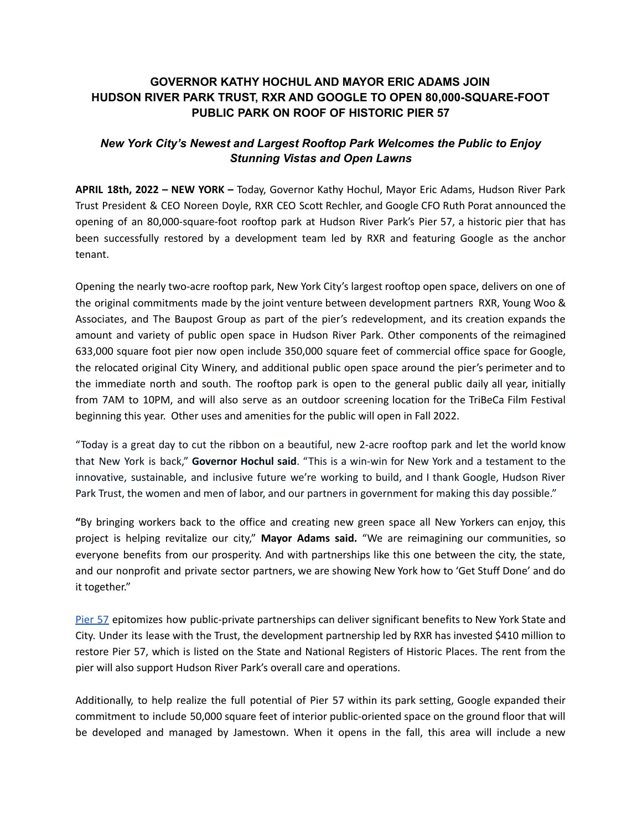## **GOVERNOR KATHY HOCHUL AND MAYOR ERIC ADAMS JOIN HUDSON RIVER PARK TRUST, RXR AND GOOGLE TO OPEN 80,000-SQUARE-FOOT PUBLIC PARK ON ROOF OF HISTORIC PIER 57**

# *New York City's Newest and Largest Rooftop Park Welcomes the Public to Enjoy Stunning Vistas and Open Lawns*

**APRIL 18th, 2022 – NEW YORK –** Today, Governor Kathy Hochul, Mayor Eric Adams, Hudson River Park Trust President & CEO Noreen Doyle, RXR CEO Scott Rechler, and Google CFO Ruth Porat announced the opening of an 80,000-square-foot rooftop park at Hudson River Park's Pier 57, a historic pier that has been successfully restored by a development team led by RXR and featuring Google as the anchor tenant.

Opening the nearly two-acre rooftop park, New York City's largest rooftop open space, delivers on one of the original commitments made by the joint venture between development partners RXR, Young Woo & Associates, and The Baupost Group as part of the pier's redevelopment, and its creation expands the amount and variety of public open space in Hudson River Park. Other components of the reimagined 633,000 square foot pier now open include 350,000 square feet of commercial office space for Google, the relocated original City Winery, and additional public open space around the pier's perimeter and to the immediate north and south. The rooftop park is open to the general public daily all year, initially from 7AM to 10PM, and will also serve as an outdoor screening location for the TriBeCa Film Festival beginning this year. Other uses and amenities for the public will open in Fall 2022.

"Today is a great day to cut the ribbon on a beautiful, new 2-acre rooftop park and let the world know that New York is back," **Governor Hochul said**. "This is a win-win for New York and a testament to the innovative, sustainable, and inclusive future we're working to build, and I thank Google, Hudson River Park Trust, the women and men of labor, and our partners in government for making this day possible."

**"**By bringing workers back to the office and creating new green space all New Yorkers can enjoy, this project is helping revitalize our city," **Mayor Adams said.** "We are reimagining our communities, so everyone benefits from our prosperity. And with partnerships like this one between the city, the state, and our nonprofit and private sector partners, we are showing New York how to 'Get Stuff Done' and do it together."

[Pier](https://urldefense.proofpoint.com/v2/url?u=http-3A__pier57nyc.com&d=DwMFaQ&c=rGIfYmk-1z7cfZPhPNJ2NJAhybwe4_LJFnxef54aLtE&r=57mRBSuhdk_EMxTB5rkfAUGYWygLBkJ0GWe53zdgB5s&m=BZuYP-ZzYU4mPga-Y9bGCfoHRzKdjokoMgz0FOfbmvL6IR_B0Pvh8YPmPU8CHY-s&s=tIbUHZoVEgmHGrnU7yKVn6ChHDmFLanvv8SSZ72IueU&e=) 57 epitomizes how public-private partnerships can deliver significant benefits to New York State and City. Under its lease with the Trust, the development partnership led by RXR has invested \$410 million to restore Pier 57, which is listed on the State and National Registers of Historic Places. The rent from the pier will also support Hudson River Park's overall care and operations.

Additionally, to help realize the full potential of Pier 57 within its park setting, Google expanded their commitment to include 50,000 square feet of interior public-oriented space on the ground floor that will be developed and managed by Jamestown. When it opens in the fall, this area will include a new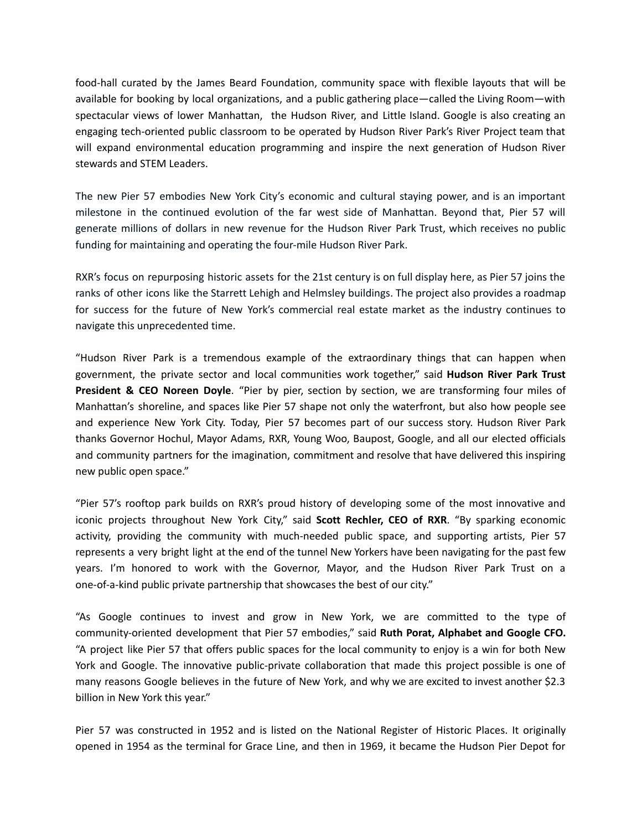food-hall curated by the James Beard Foundation, community space with flexible layouts that will be available for booking by local organizations, and a public gathering place—called the Living Room—with spectacular views of lower Manhattan, the Hudson River, and Little Island. Google is also creating an engaging tech-oriented public classroom to be operated by Hudson River Park's River Project team that will expand environmental education programming and inspire the next generation of Hudson River stewards and STEM Leaders.

The new Pier 57 embodies New York City's economic and cultural staying power, and is an important milestone in the continued evolution of the far west side of Manhattan. Beyond that, Pier 57 will generate millions of dollars in new revenue for the Hudson River Park Trust, which receives no public funding for maintaining and operating the four-mile Hudson River Park.

RXR's focus on repurposing historic assets for the 21st century is on full display here, as Pier 57 joins the ranks of other icons like the Starrett Lehigh and Helmsley buildings. The project also provides a roadmap for success for the future of New York's commercial real estate market as the industry continues to navigate this unprecedented time.

"Hudson River Park is a tremendous example of the extraordinary things that can happen when government, the private sector and local communities work together," said **Hudson River Park Trust President & CEO Noreen Doyle**. "Pier by pier, section by section, we are transforming four miles of Manhattan's shoreline, and spaces like Pier 57 shape not only the waterfront, but also how people see and experience New York City. Today, Pier 57 becomes part of our success story. Hudson River Park thanks Governor Hochul, Mayor Adams, RXR, Young Woo, Baupost, Google, and all our elected officials and community partners for the imagination, commitment and resolve that have delivered this inspiring new public open space."

"Pier 57's rooftop park builds on RXR's proud history of developing some of the most innovative and iconic projects throughout New York City," said **Scott Rechler, CEO of RXR**. "By sparking economic activity, providing the community with much-needed public space, and supporting artists, Pier 57 represents a very bright light at the end of the tunnel New Yorkers have been navigating for the past few years. I'm honored to work with the Governor, Mayor, and the Hudson River Park Trust on a one-of-a-kind public private partnership that showcases the best of our city."

"As Google continues to invest and grow in New York, we are committed to the type of community-oriented development that Pier 57 embodies," said **Ruth Porat, Alphabet and Google CFO.** "A project like Pier 57 that offers public spaces for the local community to enjoy is a win for both New York and Google. The innovative public-private collaboration that made this project possible is one of many reasons Google believes in the future of New York, and why we are excited to invest another \$2.3 billion in New York this year."

Pier 57 was constructed in 1952 and is listed on the National Register of Historic Places. It originally opened in 1954 as the terminal for Grace Line, and then in 1969, it became the Hudson Pier Depot for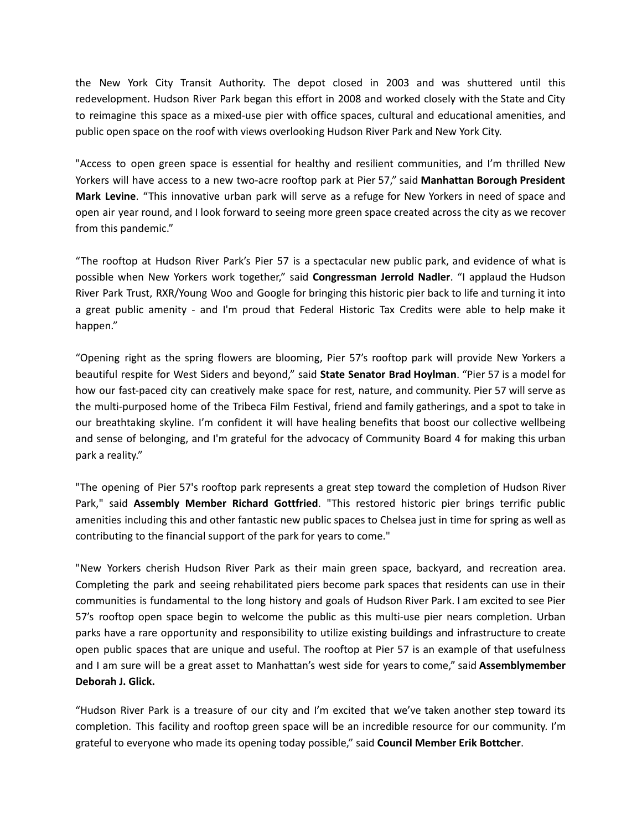the New York City Transit Authority. The depot closed in 2003 and was shuttered until this redevelopment. Hudson River Park began this effort in 2008 and worked closely with the State and City to reimagine this space as a mixed-use pier with office spaces, cultural and educational amenities, and public open space on the roof with views overlooking Hudson River Park and New York City.

"Access to open green space is essential for healthy and resilient communities, and I'm thrilled New Yorkers will have access to a new two-acre rooftop park at Pier 57," said **Manhattan Borough President Mark Levine**. "This innovative urban park will serve as a refuge for New Yorkers in need of space and open air year round, and I look forward to seeing more green space created across the city as we recover from this pandemic."

"The rooftop at Hudson River Park's Pier 57 is a spectacular new public park, and evidence of what is possible when New Yorkers work together," said **Congressman Jerrold Nadler**. "I applaud the Hudson River Park Trust, RXR/Young Woo and Google for bringing this historic pier back to life and turning it into a great public amenity - and I'm proud that Federal Historic Tax Credits were able to help make it happen."

"Opening right as the spring flowers are blooming, Pier 57's rooftop park will provide New Yorkers a beautiful respite for West Siders and beyond," said **State Senator Brad Hoylman**. "Pier 57 is a model for how our fast-paced city can creatively make space for rest, nature, and community. Pier 57 will serve as the multi-purposed home of the Tribeca Film Festival, friend and family gatherings, and a spot to take in our breathtaking skyline. I'm confident it will have healing benefits that boost our collective wellbeing and sense of belonging, and I'm grateful for the advocacy of Community Board 4 for making this urban park a reality."

"The opening of Pier 57's rooftop park represents a great step toward the completion of Hudson River Park," said **Assembly Member Richard Gottfried**. "This restored historic pier brings terrific public amenities including this and other fantastic new public spaces to Chelsea just in time for spring as well as contributing to the financial support of the park for years to come."

"New Yorkers cherish Hudson River Park as their main green space, backyard, and recreation area. Completing the park and seeing rehabilitated piers become park spaces that residents can use in their communities is fundamental to the long history and goals of Hudson River Park. I am excited to see Pier 57's rooftop open space begin to welcome the public as this multi-use pier nears completion. Urban parks have a rare opportunity and responsibility to utilize existing buildings and infrastructure to create open public spaces that are unique and useful. The rooftop at Pier 57 is an example of that usefulness and I am sure will be a great asset to Manhattan's west side for years to come," said **Assemblymember Deborah J. Glick.**

"Hudson River Park is a treasure of our city and I'm excited that we've taken another step toward its completion. This facility and rooftop green space will be an incredible resource for our community. I'm grateful to everyone who made its opening today possible," said **Council Member Erik Bottcher**.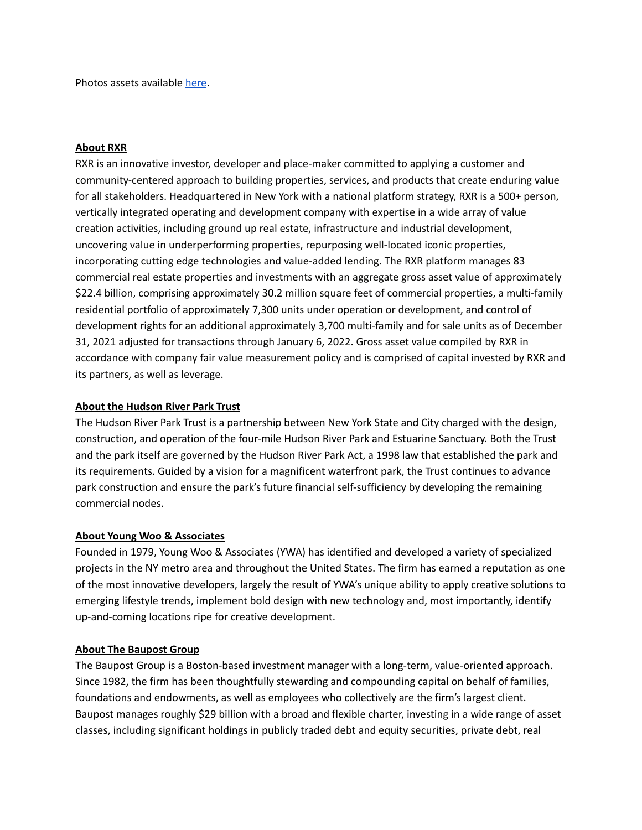Photos assets available [here](https://google.prezly.com/pier-57-at-hudson-river-park-ribbon-cutting-press-kit).

#### **About RXR**

RXR is an innovative investor, developer and place-maker committed to applying a customer and community-centered approach to building properties, services, and products that create enduring value for all stakeholders. Headquartered in New York with a national platform strategy, RXR is a 500+ person, vertically integrated operating and development company with expertise in a wide array of value creation activities, including ground up real estate, infrastructure and industrial development, uncovering value in underperforming properties, repurposing well-located iconic properties, incorporating cutting edge technologies and value-added lending. The RXR platform manages 83 commercial real estate properties and investments with an aggregate gross asset value of approximately \$22.4 billion, comprising approximately 30.2 million square feet of commercial properties, a multi-family residential portfolio of approximately 7,300 units under operation or development, and control of development rights for an additional approximately 3,700 multi-family and for sale units as of December 31, 2021 adjusted for transactions through January 6, 2022. Gross asset value compiled by RXR in accordance with company fair value measurement policy and is comprised of capital invested by RXR and its partners, as well as leverage.

### **About the Hudson River Park Trust**

The Hudson River Park Trust is a partnership between New York State and City charged with the design, construction, and operation of the four-mile Hudson River Park and Estuarine Sanctuary. Both the Trust and the park itself are governed by the Hudson River Park Act, a 1998 law that established the park and its requirements. Guided by a vision for a magnificent waterfront park, the Trust continues to advance park construction and ensure the park's future financial self-sufficiency by developing the remaining commercial nodes.

#### **About Young Woo & Associates**

Founded in 1979, Young Woo & Associates (YWA) has identified and developed a variety of specialized projects in the NY metro area and throughout the United States. The firm has earned a reputation as one of the most innovative developers, largely the result of YWA's unique ability to apply creative solutions to emerging lifestyle trends, implement bold design with new technology and, most importantly, identify up-and-coming locations ripe for creative development.

#### **About The Baupost Group**

The Baupost Group is a Boston-based investment manager with a long-term, value-oriented approach. Since 1982, the firm has been thoughtfully stewarding and compounding capital on behalf of families, foundations and endowments, as well as employees who collectively are the firm's largest client. Baupost manages roughly \$29 billion with a broad and flexible charter, investing in a wide range of asset classes, including significant holdings in publicly traded debt and equity securities, private debt, real